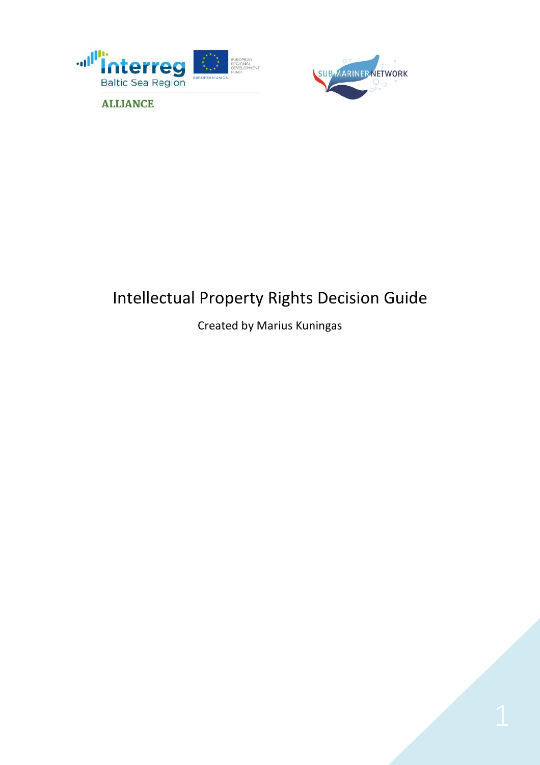



# Intellectual Property Rights Decision Guide

## Created by Marius Kuningas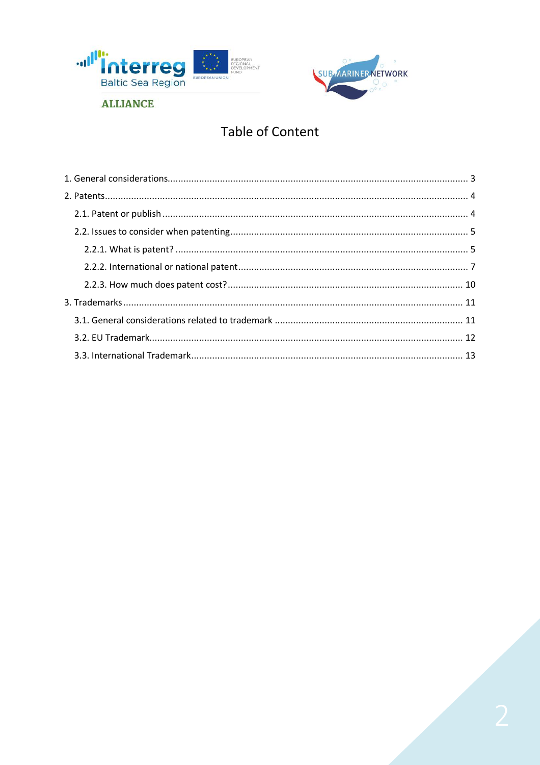



# **Table of Content**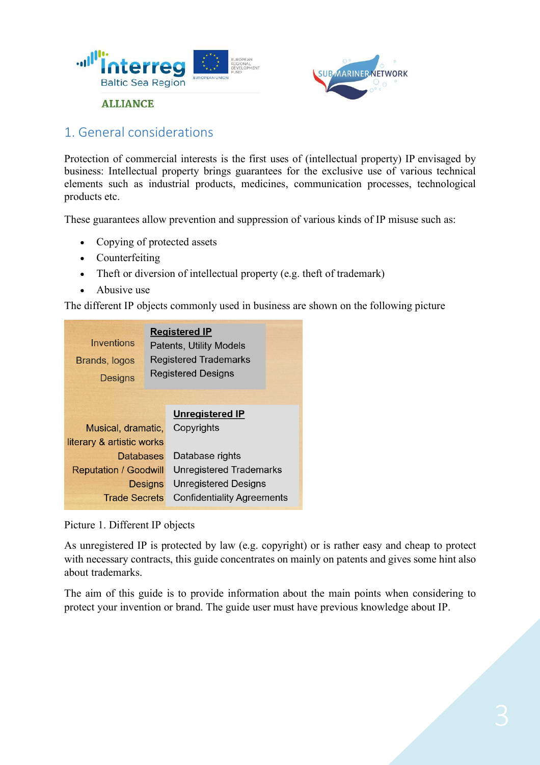



## 1. General considerations

Protection of commercial interests is the first uses of (intellectual property) IP envisaged by business: Intellectual property brings guarantees for the exclusive use of various technical elements such as industrial products, medicines, communication processes, technological products etc.

These guarantees allow prevention and suppression of various kinds of IP misuse such as:

- Copying of protected assets
- Counterfeiting
- Theft or diversion of intellectual property (e.g. theft of trademark)
- Abusive use

The different IP objects commonly used in business are shown on the following picture

| Inventions<br>Brands, logos<br><b>Designs</b> | <b>Registered IP</b><br><b>Patents, Utility Models</b><br><b>Registered Trademarks</b><br><b>Registered Designs</b> |                                      |  |
|-----------------------------------------------|---------------------------------------------------------------------------------------------------------------------|--------------------------------------|--|
| Musical, dramatic,                            |                                                                                                                     | <b>Unregistered IP</b><br>Copyrights |  |
| literary & artistic works                     |                                                                                                                     |                                      |  |
| Databases                                     |                                                                                                                     | Database rights                      |  |
| <b>Reputation / Goodwill</b>                  |                                                                                                                     | <b>Unregistered Trademarks</b>       |  |
| <b>Designs</b>                                |                                                                                                                     | <b>Unregistered Designs</b>          |  |
| <b>Trade Secrets</b>                          |                                                                                                                     | <b>Confidentiality Agreements</b>    |  |

Picture 1. Different IP objects

As unregistered IP is protected by law (e.g. copyright) or is rather easy and cheap to protect with necessary contracts, this guide concentrates on mainly on patents and gives some hint also about trademarks.

The aim of this guide is to provide information about the main points when considering to protect your invention or brand. The guide user must have previous knowledge about IP.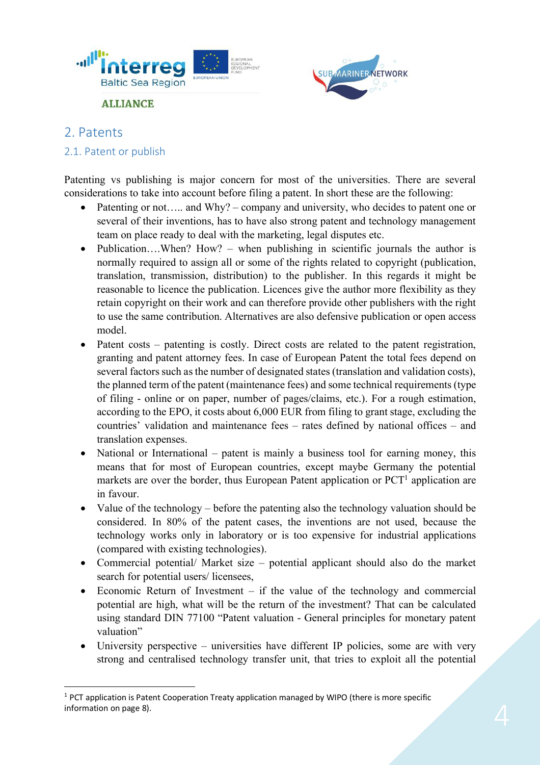



### 2. Patents

#### 2.1. Patent or publish

**ALLIANCE** 

Patenting vs publishing is major concern for most of the universities. There are several considerations to take into account before filing a patent. In short these are the following:

- Patenting or not..... and Why? company and university, who decides to patent one or several of their inventions, has to have also strong patent and technology management team on place ready to deal with the marketing, legal disputes etc.
- Publication....When? How? when publishing in scientific journals the author is normally required to assign all or some of the rights related to copyright (publication, translation, transmission, distribution) to the publisher. In this regards it might be reasonable to licence the publication. Licences give the author more flexibility as they retain copyright on their work and can therefore provide other publishers with the right to use the same contribution. Alternatives are also defensive publication or open access model.
- Patent costs patenting is costly. Direct costs are related to the patent registration, granting and patent attorney fees. In case of European Patent the total fees depend on several factors such as the number of designated states (translation and validation costs), the planned term of the patent (maintenance fees) and some technical requirements (type of filing - online or on paper, number of pages/claims, etc.). For a rough estimation, according to the EPO, it costs about 6,000 EUR from filing to grant stage, excluding the countries' validation and maintenance fees – rates defined by national offices – and translation expenses.
- National or International patent is mainly a business tool for earning money, this means that for most of European countries, except maybe Germany the potential markets are over the border, thus European Patent application or  $PCT<sup>1</sup>$  application are in favour.
- Value of the technology before the patenting also the technology valuation should be considered. In 80% of the patent cases, the inventions are not used, because the technology works only in laboratory or is too expensive for industrial applications (compared with existing technologies).
- Commercial potential/ Market size potential applicant should also do the market search for potential users/ licensees,
- Economic Return of Investment if the value of the technology and commercial potential are high, what will be the return of the investment? That can be calculated using standard DIN 77100 "Patent valuation - General principles for monetary patent valuation"
- University perspective universities have different IP policies, some are with very strong and centralised technology transfer unit, that tries to exploit all the potential

<sup>&</sup>lt;sup>1</sup> PCT application is Patent Cooperation Treaty application managed by WIPO (there is more specific information on page 8).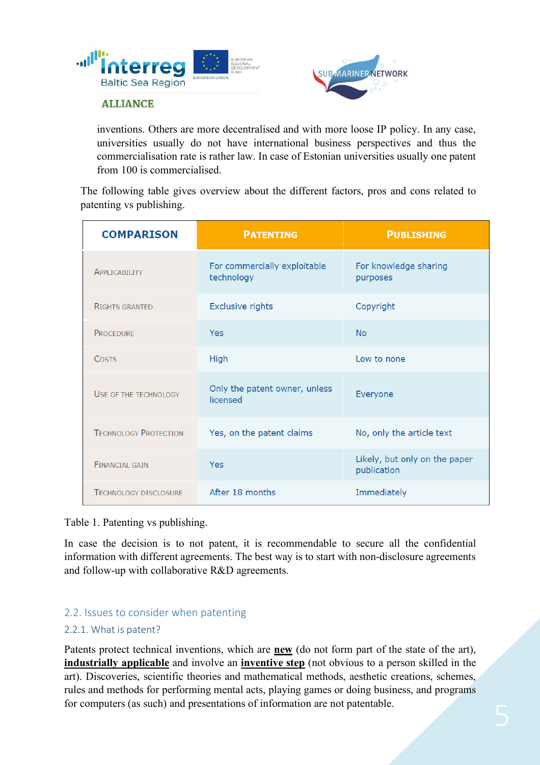



inventions. Others are more decentralised and with more loose IP policy. In any case, universities usually do not have international business perspectives and thus the commercialisation rate is rather law. In case of Estonian universities usually one patent from 100 is commercialised.

The following table gives overview about the different factors, pros and cons related to patenting vs publishing.

| <b>COMPARISON</b>            | <b>PATENTING</b>                           | <b>PUBLISHING</b>                            |
|------------------------------|--------------------------------------------|----------------------------------------------|
| APPLICABILITY                | For commercially exploitable<br>technology | For knowledge sharing<br>purposes            |
| <b>RIGHTS GRANTED</b>        | <b>Exclusive rights</b>                    | Copyright                                    |
| <b>PROCEDURE</b>             | <b>Yes</b>                                 | <b>No</b>                                    |
| <b>COSTS</b>                 | High                                       | Low to none                                  |
| USE OF THE TECHNOLOGY        | Only the patent owner, unless<br>licensed  | Everyone                                     |
| <b>TECHNOLOGY PROTECTION</b> | Yes, on the patent claims                  | No, only the article text                    |
| <b>FINANCIAL GAIN</b>        | Yes                                        | Likely, but only on the paper<br>publication |
| <b>TECHNOLOGY DISCLOSURE</b> | After 18 months                            | Immediately                                  |

Table 1. Patenting vs publishing.

In case the decision is to not patent, it is recommendable to secure all the confidential information with different agreements. The best way is to start with non-disclosure agreements and follow-up with collaborative R&D agreements.

#### 2.2. Issues to consider when patenting

#### 2.2.1. What is patent?

Patents protect technical inventions, which are **new** (do not form part of the state of the art), **industrially applicable** and involve an **inventive step** (not obvious to a person skilled in the art). Discoveries, scientific theories and mathematical methods, aesthetic creations, schemes, rules and methods for performing mental acts, playing games or doing business, and programs for computers (as such) and presentations of information are not patentable.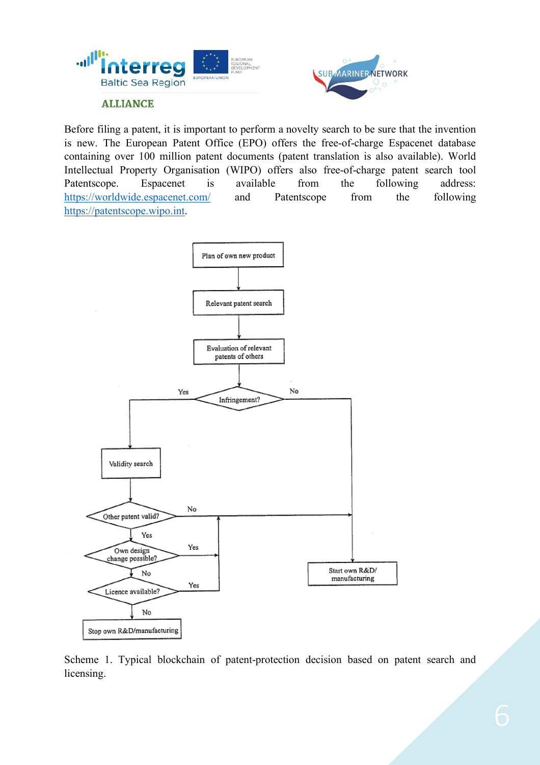



Before filing a patent, it is important to perform a novelty search to be sure that the invention is new. The European Patent Office (EPO) offers the free-of-charge Espacenet database containing over 100 million patent documents (patent translation is also available). World Intellectual Property Organisation (WIPO) offers also free-of-charge patent search tool Patentscope. Espacenet is available from the following address: https://worldwide.espacenet.com/ and Patentscope from the following https://patentscope.wipo.int.



Scheme 1. Typical blockchain of patent-protection decision based on patent search and licensing.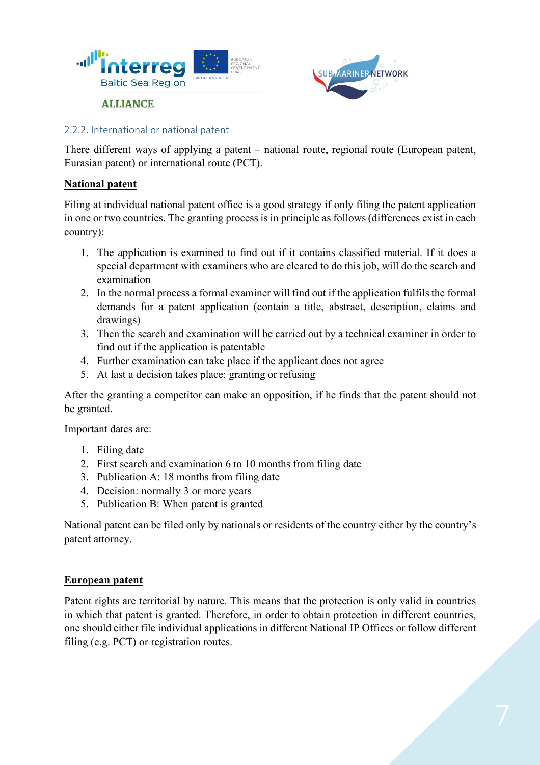



#### 2.2.2. International or national patent

There different ways of applying a patent – national route, regional route (European patent, Eurasian patent) or international route (PCT).

#### **National patent**

Filing at individual national patent office is a good strategy if only filing the patent application in one or two countries. The granting process is in principle as follows (differences exist in each country):

- 1. The application is examined to find out if it contains classified material. If it does a special department with examiners who are cleared to do this job, will do the search and examination
- 2. In the normal process a formal examiner will find out if the application fulfils the formal demands for a patent application (contain a title, abstract, description, claims and drawings)
- 3. Then the search and examination will be carried out by a technical examiner in order to find out if the application is patentable
- 4. Further examination can take place if the applicant does not agree
- 5. At last a decision takes place: granting or refusing

After the granting a competitor can make an opposition, if he finds that the patent should not be granted.

Important dates are:

- 1. Filing date
- 2. First search and examination 6 to 10 months from filing date
- 3. Publication A: 18 months from filing date
- 4. Decision: normally 3 or more years
- 5. Publication B: When patent is granted

National patent can be filed only by nationals or residents of the country either by the country's patent attorney.

#### **European patent**

Patent rights are territorial by nature. This means that the protection is only valid in countries in which that patent is granted. Therefore, in order to obtain protection in different countries, one should either file individual applications in different National IP Offices or follow different filing (e.g. PCT) or registration routes.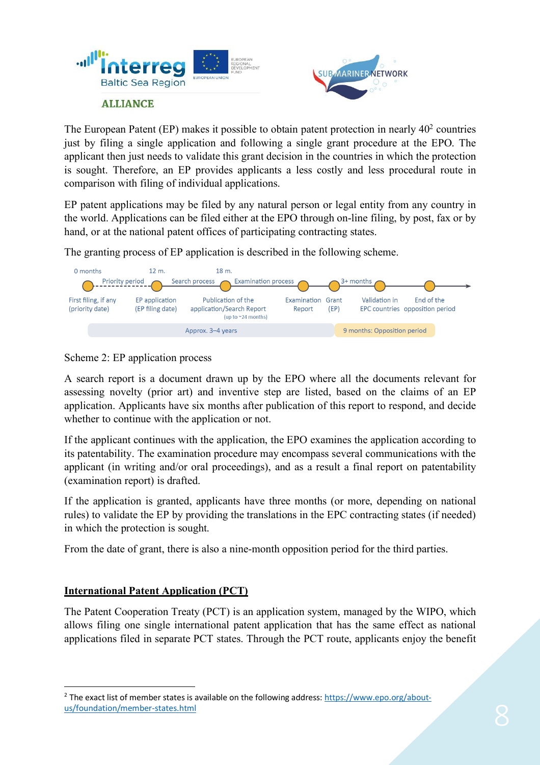



The European Patent (EP) makes it possible to obtain patent protection in nearly  $40<sup>2</sup>$  countries just by filing a single application and following a single grant procedure at the EPO. The applicant then just needs to validate this grant decision in the countries in which the protection is sought. Therefore, an EP provides applicants a less costly and less procedural route in comparison with filing of individual applications.

EP patent applications may be filed by any natural person or legal entity from any country in the world. Applications can be filed either at the EPO through on-line filing, by post, fax or by hand, or at the national patent offices of participating contracting states.

The granting process of EP application is described in the following scheme.



Scheme 2: EP application process

A search report is a document drawn up by the EPO where all the documents relevant for assessing novelty (prior art) and inventive step are listed, based on the claims of an EP application. Applicants have six months after publication of this report to respond, and decide whether to continue with the application or not.

If the applicant continues with the application, the EPO examines the application according to its patentability. The examination procedure may encompass several communications with the applicant (in writing and/or oral proceedings), and as a result a final report on patentability (examination report) is drafted.

If the application is granted, applicants have three months (or more, depending on national rules) to validate the EP by providing the translations in the EPC contracting states (if needed) in which the protection is sought.

From the date of grant, there is also a nine-month opposition period for the third parties.

#### **International Patent Application (PCT)**

The Patent Cooperation Treaty (PCT) is an application system, managed by the WIPO, which allows filing one single international patent application that has the same effect as national applications filed in separate PCT states. Through the PCT route, applicants enjoy the benefit

 <sup>2</sup> The exact list of member states is available on the following address: https://www.epo.org/aboutus/foundation/member-states.html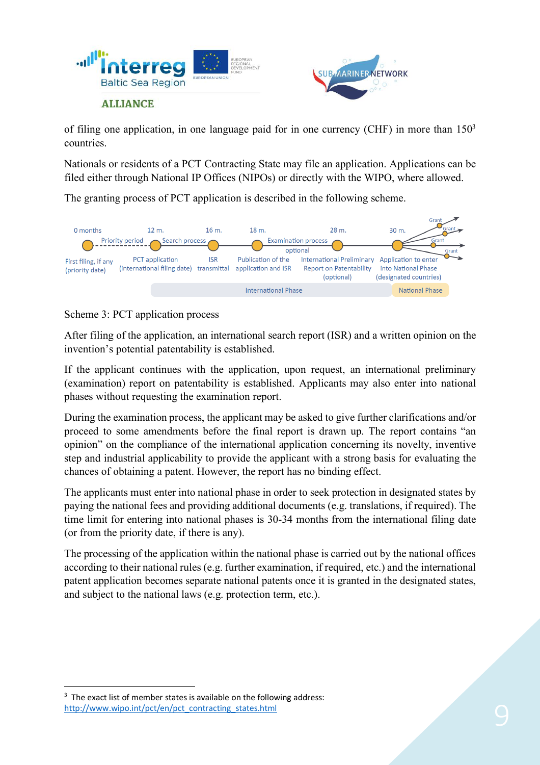



of filing one application, in one language paid for in one currency (CHF) in more than  $150<sup>3</sup>$ countries.

Nationals or residents of a PCT Contracting State may file an application. Applications can be filed either through National IP Offices (NIPOs) or directly with the WIPO, where allowed.

The granting process of PCT application is described in the following scheme.



Scheme 3: PCT application process

After filing of the application, an international search report (ISR) and a written opinion on the invention's potential patentability is established.

If the applicant continues with the application, upon request, an international preliminary (examination) report on patentability is established. Applicants may also enter into national phases without requesting the examination report.

During the examination process, the applicant may be asked to give further clarifications and/or proceed to some amendments before the final report is drawn up. The report contains "an opinion" on the compliance of the international application concerning its novelty, inventive step and industrial applicability to provide the applicant with a strong basis for evaluating the chances of obtaining a patent. However, the report has no binding effect.

The applicants must enter into national phase in order to seek protection in designated states by paying the national fees and providing additional documents (e.g. translations, if required). The time limit for entering into national phases is 30-34 months from the international filing date (or from the priority date, if there is any).

The processing of the application within the national phase is carried out by the national offices according to their national rules (e.g. further examination, if required, etc.) and the international patent application becomes separate national patents once it is granted in the designated states, and subject to the national laws (e.g. protection term, etc.).

 $3$  The exact list of member states is available on the following address: http://www.wipo.int/pct/en/pct\_contracting\_states.html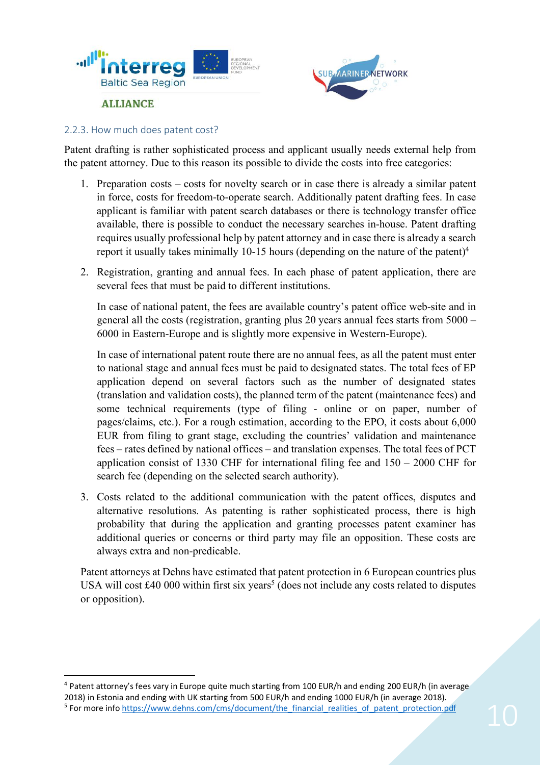



#### 2.2.3. How much does patent cost?

Patent drafting is rather sophisticated process and applicant usually needs external help from the patent attorney. Due to this reason its possible to divide the costs into free categories:

- 1. Preparation costs costs for novelty search or in case there is already a similar patent in force, costs for freedom-to-operate search. Additionally patent drafting fees. In case applicant is familiar with patent search databases or there is technology transfer office available, there is possible to conduct the necessary searches in-house. Patent drafting requires usually professional help by patent attorney and in case there is already a search report it usually takes minimally 10-15 hours (depending on the nature of the patent)<sup>4</sup>
- 2. Registration, granting and annual fees. In each phase of patent application, there are several fees that must be paid to different institutions.

In case of national patent, the fees are available country's patent office web-site and in general all the costs (registration, granting plus 20 years annual fees starts from 5000 – 6000 in Eastern-Europe and is slightly more expensive in Western-Europe).

In case of international patent route there are no annual fees, as all the patent must enter to national stage and annual fees must be paid to designated states. The total fees of EP application depend on several factors such as the number of designated states (translation and validation costs), the planned term of the patent (maintenance fees) and some technical requirements (type of filing - online or on paper, number of pages/claims, etc.). For a rough estimation, according to the EPO, it costs about 6,000 EUR from filing to grant stage, excluding the countries' validation and maintenance fees – rates defined by national offices – and translation expenses. The total fees of PCT application consist of 1330 CHF for international filing fee and 150 – 2000 CHF for search fee (depending on the selected search authority).

3. Costs related to the additional communication with the patent offices, disputes and alternative resolutions. As patenting is rather sophisticated process, there is high probability that during the application and granting processes patent examiner has additional queries or concerns or third party may file an opposition. These costs are always extra and non-predicable.

Patent attorneys at Dehns have estimated that patent protection in 6 European countries plus USA will cost  $\text{\pounds}40\,000$  within first six years<sup>5</sup> (does not include any costs related to disputes or opposition).

 4 Patent attorney's fees vary in Europe quite much starting from 100 EUR/h and ending 200 EUR/h (in average 2018) in Estonia and ending with UK starting from 500 EUR/h and ending 1000 EUR/h (in average 2018).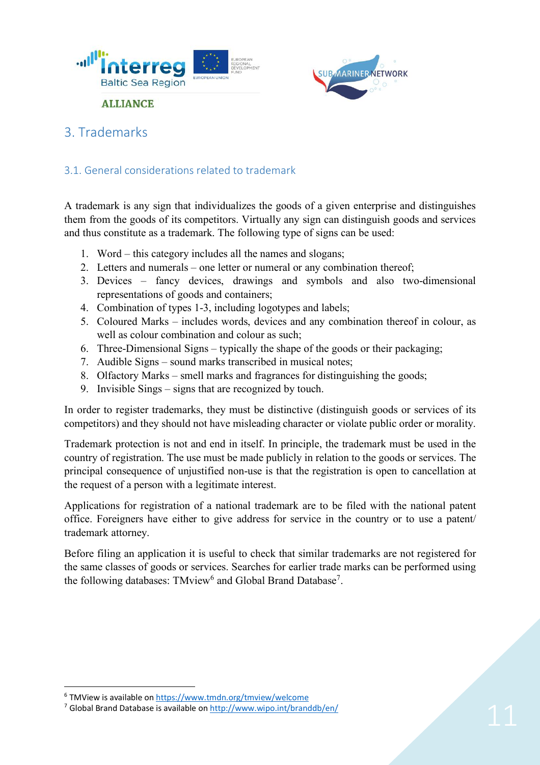



## 3. Trademarks

#### 3.1. General considerations related to trademark

A trademark is any sign that individualizes the goods of a given enterprise and distinguishes them from the goods of its competitors. Virtually any sign can distinguish goods and services and thus constitute as a trademark. The following type of signs can be used:

- 1. Word this category includes all the names and slogans;
- 2. Letters and numerals one letter or numeral or any combination thereof;
- 3. Devices fancy devices, drawings and symbols and also two-dimensional representations of goods and containers;
- 4. Combination of types 1-3, including logotypes and labels;
- 5. Coloured Marks includes words, devices and any combination thereof in colour, as well as colour combination and colour as such;
- 6. Three-Dimensional Signs typically the shape of the goods or their packaging;
- 7. Audible Signs sound marks transcribed in musical notes;
- 8. Olfactory Marks smell marks and fragrances for distinguishing the goods;
- 9. Invisible Sings signs that are recognized by touch.

In order to register trademarks, they must be distinctive (distinguish goods or services of its competitors) and they should not have misleading character or violate public order or morality.

Trademark protection is not and end in itself. In principle, the trademark must be used in the country of registration. The use must be made publicly in relation to the goods or services. The principal consequence of unjustified non-use is that the registration is open to cancellation at the request of a person with a legitimate interest.

Applications for registration of a national trademark are to be filed with the national patent office. Foreigners have either to give address for service in the country or to use a patent/ trademark attorney.

Before filing an application it is useful to check that similar trademarks are not registered for the same classes of goods or services. Searches for earlier trade marks can be performed using the following databases: TMview<sup>6</sup> and Global Brand Database<sup>7</sup>.

 <sup>6</sup> TMView is available on https://www.tmdn.org/tmview/welcome

<sup>7</sup> Global Brand Database is available on http://www.wipo.int/branddb/en/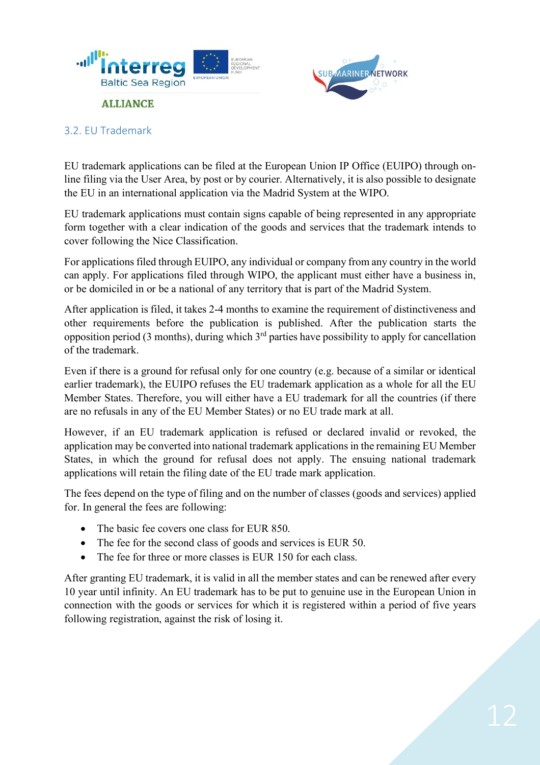



#### 3.2. EU Trademark

EU trademark applications can be filed at the European Union IP Office (EUIPO) through online filing via the User Area, by post or by courier. Alternatively, it is also possible to designate the EU in an international application via the Madrid System at the WIPO.

EU trademark applications must contain signs capable of being represented in any appropriate form together with a clear indication of the goods and services that the trademark intends to cover following the Nice Classification.

For applications filed through EUIPO, any individual or company from any country in the world can apply. For applications filed through WIPO, the applicant must either have a business in, or be domiciled in or be a national of any territory that is part of the Madrid System.

After application is filed, it takes 2-4 months to examine the requirement of distinctiveness and other requirements before the publication is published. After the publication starts the opposition period (3 months), during which  $3<sup>rd</sup>$  parties have possibility to apply for cancellation of the trademark.

Even if there is a ground for refusal only for one country (e.g. because of a similar or identical earlier trademark), the EUIPO refuses the EU trademark application as a whole for all the EU Member States. Therefore, you will either have a EU trademark for all the countries (if there are no refusals in any of the EU Member States) or no EU trade mark at all.

However, if an EU trademark application is refused or declared invalid or revoked, the application may be converted into national trademark applications in the remaining EU Member States, in which the ground for refusal does not apply. The ensuing national trademark applications will retain the filing date of the EU trade mark application.

The fees depend on the type of filing and on the number of classes (goods and services) applied for. In general the fees are following:

- The basic fee covers one class for EUR 850.
- The fee for the second class of goods and services is EUR 50.
- The fee for three or more classes is EUR 150 for each class.

After granting EU trademark, it is valid in all the member states and can be renewed after every 10 year until infinity. An EU trademark has to be put to genuine use in the European Union in connection with the goods or services for which it is registered within a period of five years following registration, against the risk of losing it.